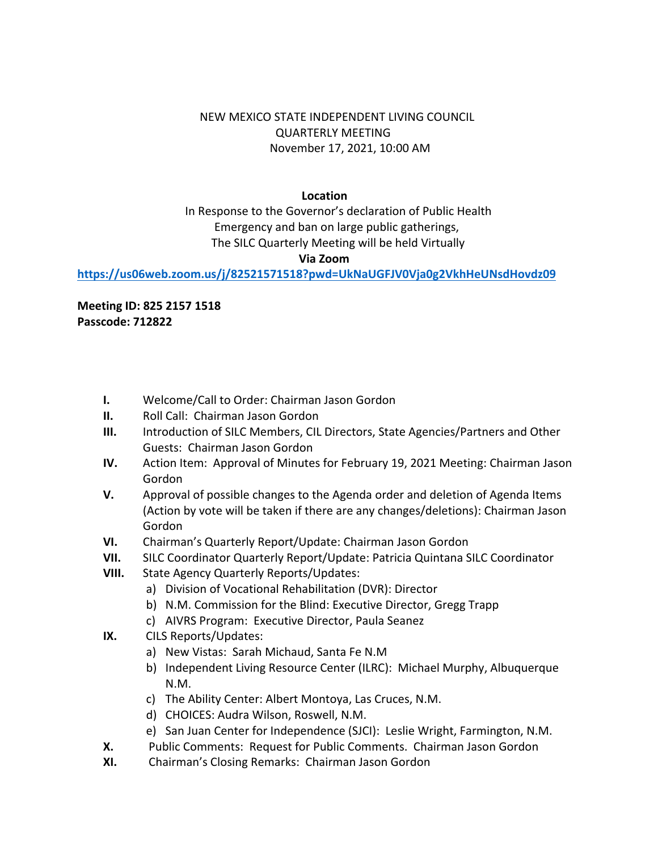## NEW MEXICO STATE INDEPENDENT LIVING COUNCIL QUARTERLY MEETING November 17, 2021, 10:00 AM

## **Location**

 In Response to the Governor's declaration of Public Health Emergency and ban on large public gatherings, The SILC Quarterly Meeting will be held Virtually

## **Via Zoom**

**<https://us06web.zoom.us/j/82521571518?pwd=UkNaUGFJV0Vja0g2VkhHeUNsdHovdz09>**

**Meeting ID: 825 2157 1518 Passcode: 712822**

- **I.** Welcome/Call to Order: Chairman Jason Gordon
- **II.** Roll Call: Chairman Jason Gordon
- **III.** Introduction of SILC Members, CIL Directors, State Agencies/Partners and Other Guests: Chairman Jason Gordon
- **IV.** Action Item: Approval of Minutes for February 19, 2021 Meeting: Chairman Jason Gordon
- **V.** Approval of possible changes to the Agenda order and deletion of Agenda Items (Action by vote will be taken if there are any changes/deletions): Chairman Jason Gordon
- **VI.** Chairman's Quarterly Report/Update: Chairman Jason Gordon
- **VII.** SILC Coordinator Quarterly Report/Update: Patricia Quintana SILC Coordinator
- **VIII.** State Agency Quarterly Reports/Updates:
	- a) Division of Vocational Rehabilitation (DVR): Director
	- b) N.M. Commission for the Blind: Executive Director, Gregg Trapp
	- c) AIVRS Program: Executive Director, Paula Seanez
- **IX.** CILS Reports/Updates:
	- a) New Vistas: Sarah Michaud, Santa Fe N.M
	- b) Independent Living Resource Center (ILRC): Michael Murphy, Albuquerque N.M.
	- c) The Ability Center: Albert Montoya, Las Cruces, N.M.
	- d) CHOICES: Audra Wilson, Roswell, N.M.
	- e) San Juan Center for Independence (SJCI): Leslie Wright, Farmington, N.M.
- **X.** Public Comments: Request for Public Comments. Chairman Jason Gordon
- **XI.** Chairman's Closing Remarks: Chairman Jason Gordon